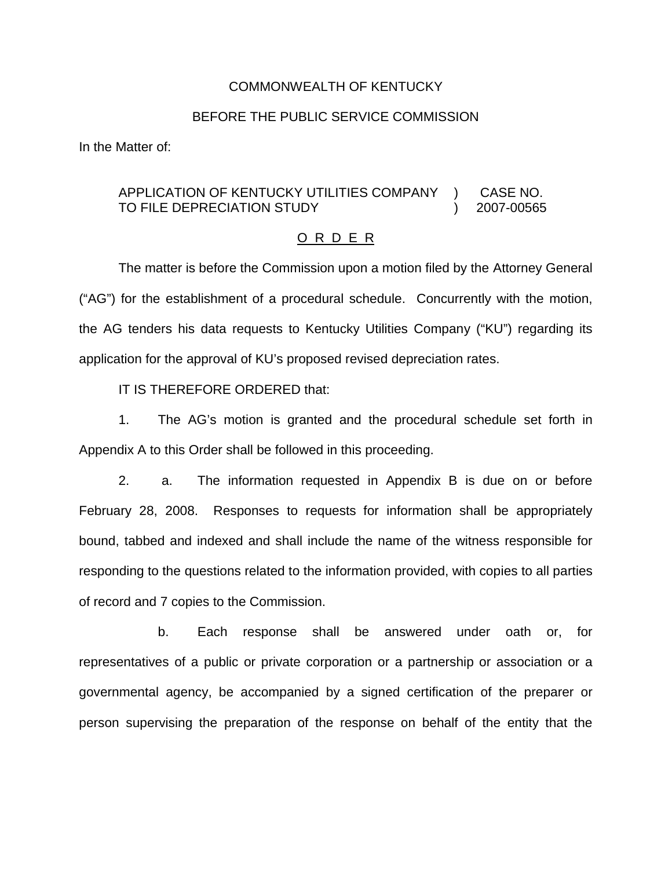## COMMONWEALTH OF KENTUCKY

# BEFORE THE PUBLIC SERVICE COMMISSION

In the Matter of:

#### APPLICATION OF KENTUCKY UTILITIES COMPANY TO FILE DEPRECIATION STUDY ) ) CASE NO. 2007-00565

### O R D E R

The matter is before the Commission upon a motion filed by the Attorney General ("AG") for the establishment of a procedural schedule. Concurrently with the motion, the AG tenders his data requests to Kentucky Utilities Company ("KU") regarding its application for the approval of KU's proposed revised depreciation rates.

IT IS THEREFORE ORDERED that:

1. The AG's motion is granted and the procedural schedule set forth in Appendix A to this Order shall be followed in this proceeding.

2. a. The information requested in Appendix B is due on or before February 28, 2008. Responses to requests for information shall be appropriately bound, tabbed and indexed and shall include the name of the witness responsible for responding to the questions related to the information provided, with copies to all parties of record and 7 copies to the Commission.

b. Each response shall be answered under oath or, for representatives of a public or private corporation or a partnership or association or a governmental agency, be accompanied by a signed certification of the preparer or person supervising the preparation of the response on behalf of the entity that the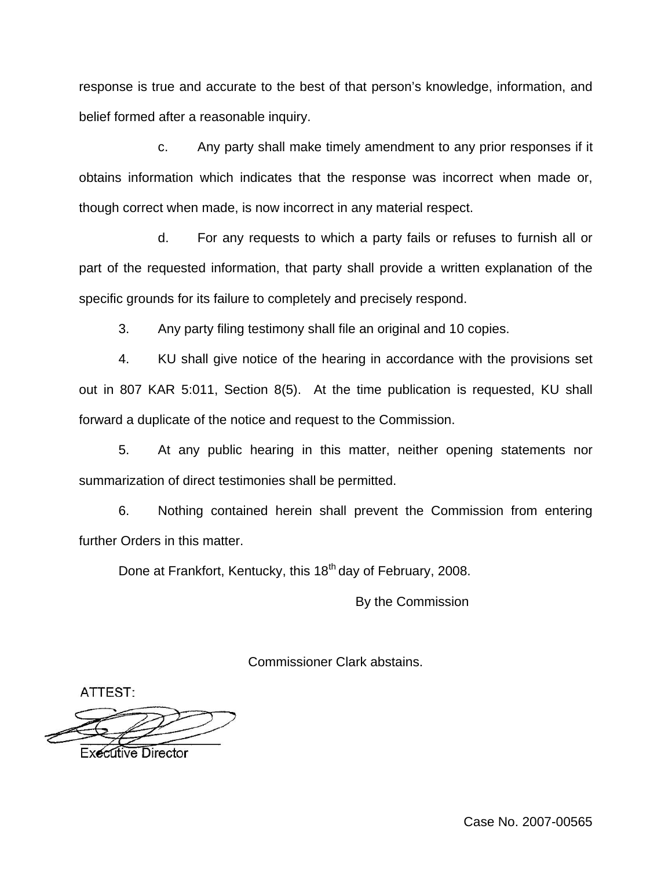response is true and accurate to the best of that person's knowledge, information, and belief formed after a reasonable inquiry.

c. Any party shall make timely amendment to any prior responses if it obtains information which indicates that the response was incorrect when made or, though correct when made, is now incorrect in any material respect.

d. For any requests to which a party fails or refuses to furnish all or part of the requested information, that party shall provide a written explanation of the specific grounds for its failure to completely and precisely respond.

3. Any party filing testimony shall file an original and 10 copies.

4. KU shall give notice of the hearing in accordance with the provisions set out in 807 KAR 5:011, Section 8(5). At the time publication is requested, KU shall forward a duplicate of the notice and request to the Commission.

5. At any public hearing in this matter, neither opening statements nor summarization of direct testimonies shall be permitted.

6. Nothing contained herein shall prevent the Commission from entering further Orders in this matter.

Done at Frankfort, Kentucky, this 18<sup>th</sup> day of February, 2008.

By the Commission

Commissioner Clark abstains.

ATTEST:

Executive Director

Case No. 2007-00565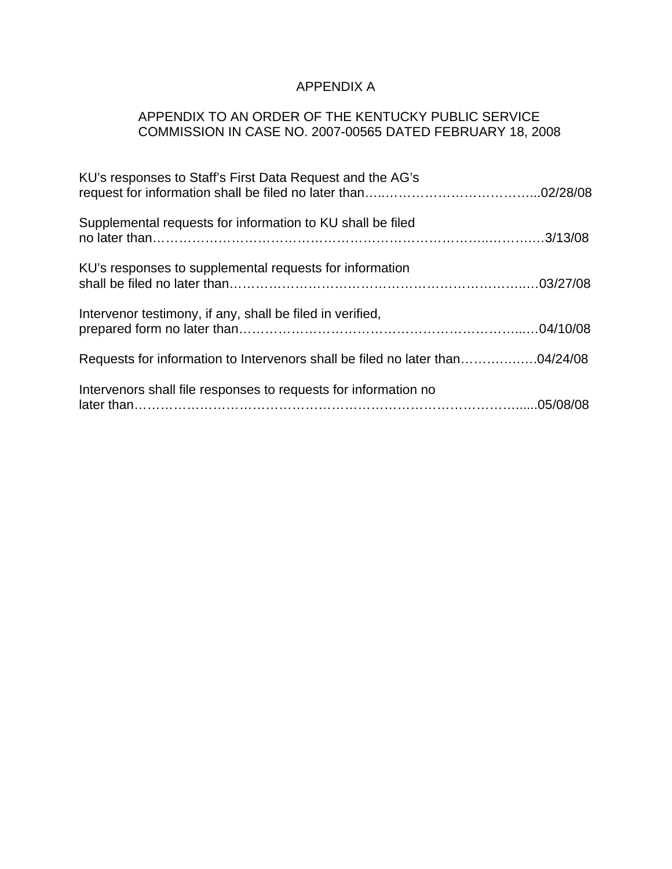# APPENDIX A

# APPENDIX TO AN ORDER OF THE KENTUCKY PUBLIC SERVICE COMMISSION IN CASE NO. 2007-00565 DATED FEBRUARY 18, 2008

| KU's responses to Staff's First Data Request and the AG's                    |  |
|------------------------------------------------------------------------------|--|
| Supplemental requests for information to KU shall be filed                   |  |
| KU's responses to supplemental requests for information                      |  |
| Intervenor testimony, if any, shall be filed in verified,                    |  |
| Requests for information to Intervenors shall be filed no later than04/24/08 |  |
| Intervenors shall file responses to requests for information no              |  |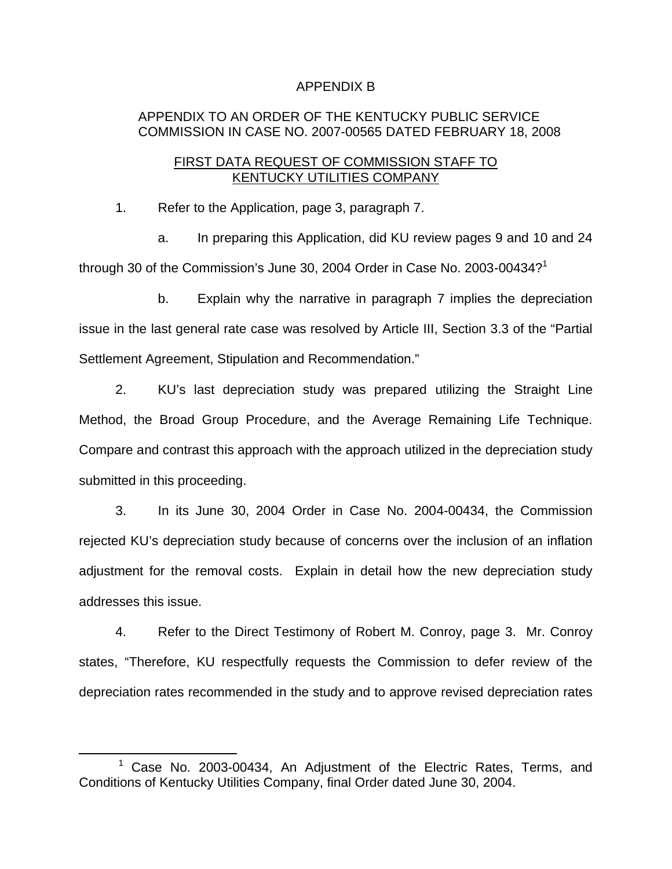# APPENDIX B

# APPENDIX TO AN ORDER OF THE KENTUCKY PUBLIC SERVICE COMMISSION IN CASE NO. 2007-00565 DATED FEBRUARY 18, 2008

# FIRST DATA REQUEST OF COMMISSION STAFF TO KENTUCKY UTILITIES COMPANY

1. Refer to the Application, page 3, paragraph 7.

a. In preparing this Application, did KU review pages 9 and 10 and 24 through 30 of the Commission's June 30, 2004 Order in Case No. 2003-00434?<sup>1</sup>

b. Explain why the narrative in paragraph 7 implies the depreciation issue in the last general rate case was resolved by Article III, Section 3.3 of the "Partial Settlement Agreement, Stipulation and Recommendation."

2. KU's last depreciation study was prepared utilizing the Straight Line Method, the Broad Group Procedure, and the Average Remaining Life Technique. Compare and contrast this approach with the approach utilized in the depreciation study submitted in this proceeding.

3. In its June 30, 2004 Order in Case No. 2004-00434, the Commission rejected KU's depreciation study because of concerns over the inclusion of an inflation adjustment for the removal costs. Explain in detail how the new depreciation study addresses this issue.

4. Refer to the Direct Testimony of Robert M. Conroy, page 3. Mr. Conroy states, "Therefore, KU respectfully requests the Commission to defer review of the depreciation rates recommended in the study and to approve revised depreciation rates

 $1$  Case No. 2003-00434, An Adjustment of the Electric Rates, Terms, and Conditions of Kentucky Utilities Company, final Order dated June 30, 2004.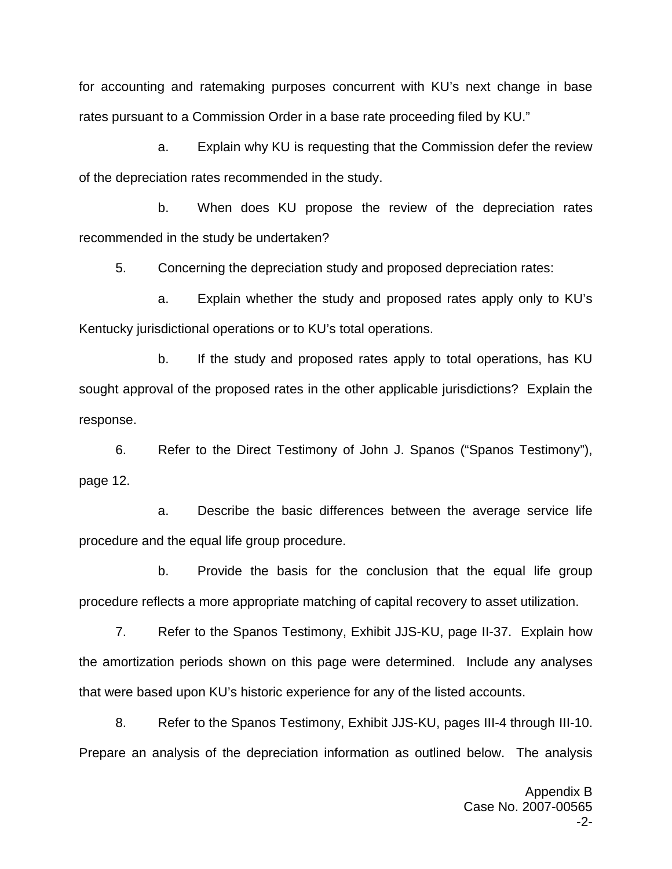for accounting and ratemaking purposes concurrent with KU's next change in base rates pursuant to a Commission Order in a base rate proceeding filed by KU."

a. Explain why KU is requesting that the Commission defer the review of the depreciation rates recommended in the study.

b. When does KU propose the review of the depreciation rates recommended in the study be undertaken?

5. Concerning the depreciation study and proposed depreciation rates:

a. Explain whether the study and proposed rates apply only to KU's Kentucky jurisdictional operations or to KU's total operations.

b. If the study and proposed rates apply to total operations, has KU sought approval of the proposed rates in the other applicable jurisdictions? Explain the response.

6. Refer to the Direct Testimony of John J. Spanos ("Spanos Testimony"), page 12.

a. Describe the basic differences between the average service life procedure and the equal life group procedure.

b. Provide the basis for the conclusion that the equal life group procedure reflects a more appropriate matching of capital recovery to asset utilization.

7. Refer to the Spanos Testimony, Exhibit JJS-KU, page II-37. Explain how the amortization periods shown on this page were determined. Include any analyses that were based upon KU's historic experience for any of the listed accounts.

8. Refer to the Spanos Testimony, Exhibit JJS-KU, pages III-4 through III-10. Prepare an analysis of the depreciation information as outlined below. The analysis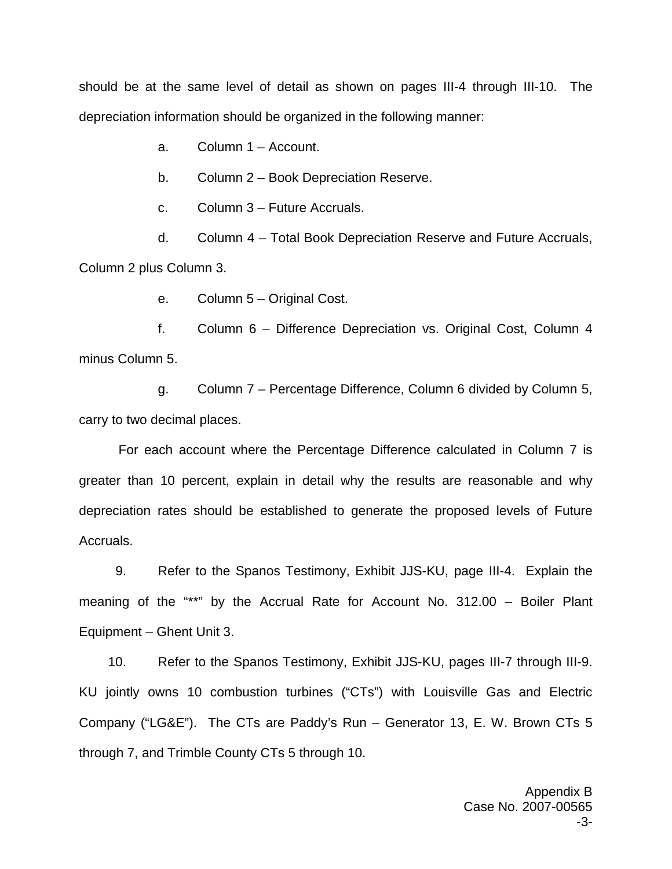should be at the same level of detail as shown on pages III-4 through III-10. The depreciation information should be organized in the following manner:

a. Column 1 – Account.

b. Column 2 – Book Depreciation Reserve.

c. Column 3 – Future Accruals.

d. Column 4 – Total Book Depreciation Reserve and Future Accruals, Column 2 plus Column 3.

e. Column 5 – Original Cost.

f. Column 6 – Difference Depreciation vs. Original Cost, Column 4 minus Column 5.

g. Column 7 – Percentage Difference, Column 6 divided by Column 5, carry to two decimal places.

For each account where the Percentage Difference calculated in Column 7 is greater than 10 percent, explain in detail why the results are reasonable and why depreciation rates should be established to generate the proposed levels of Future Accruals.

9. Refer to the Spanos Testimony, Exhibit JJS-KU, page III-4. Explain the meaning of the "\*\*" by the Accrual Rate for Account No. 312.00 – Boiler Plant Equipment – Ghent Unit 3.

10. Refer to the Spanos Testimony, Exhibit JJS-KU, pages III-7 through III-9. KU jointly owns 10 combustion turbines ("CTs") with Louisville Gas and Electric Company ("LG&E"). The CTs are Paddy's Run – Generator 13, E. W. Brown CTs 5 through 7, and Trimble County CTs 5 through 10.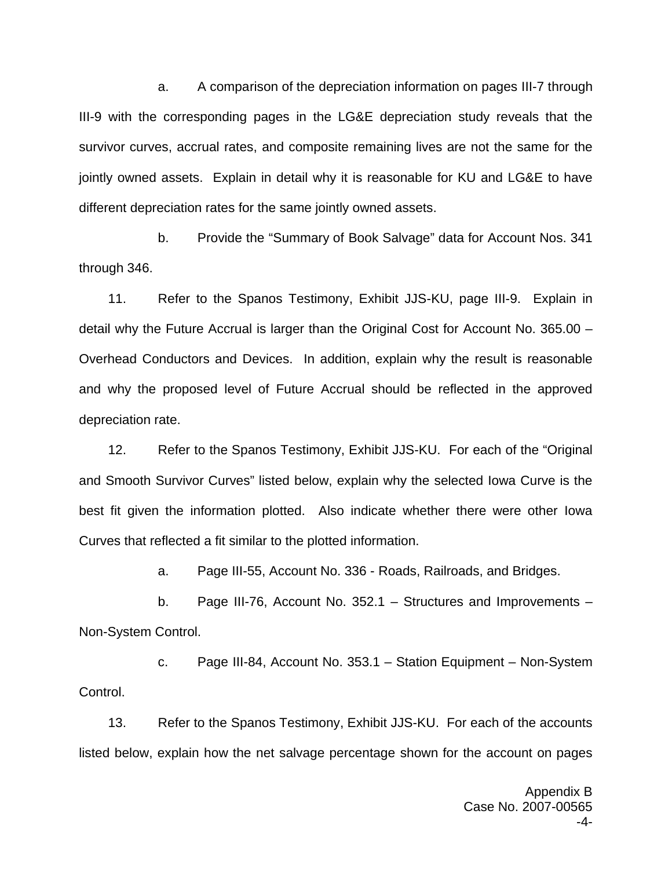a. A comparison of the depreciation information on pages III-7 through III-9 with the corresponding pages in the LG&E depreciation study reveals that the survivor curves, accrual rates, and composite remaining lives are not the same for the jointly owned assets. Explain in detail why it is reasonable for KU and LG&E to have different depreciation rates for the same jointly owned assets.

b. Provide the "Summary of Book Salvage" data for Account Nos. 341 through 346.

11. Refer to the Spanos Testimony, Exhibit JJS-KU, page III-9. Explain in detail why the Future Accrual is larger than the Original Cost for Account No. 365.00 – Overhead Conductors and Devices. In addition, explain why the result is reasonable and why the proposed level of Future Accrual should be reflected in the approved depreciation rate.

12. Refer to the Spanos Testimony, Exhibit JJS-KU. For each of the "Original and Smooth Survivor Curves" listed below, explain why the selected Iowa Curve is the best fit given the information plotted. Also indicate whether there were other Iowa Curves that reflected a fit similar to the plotted information.

a. Page III-55, Account No. 336 - Roads, Railroads, and Bridges.

b. Page III-76, Account No. 352.1 – Structures and Improvements – Non-System Control.

c. Page III-84, Account No. 353.1 – Station Equipment – Non-System Control.

13. Refer to the Spanos Testimony, Exhibit JJS-KU. For each of the accounts listed below, explain how the net salvage percentage shown for the account on pages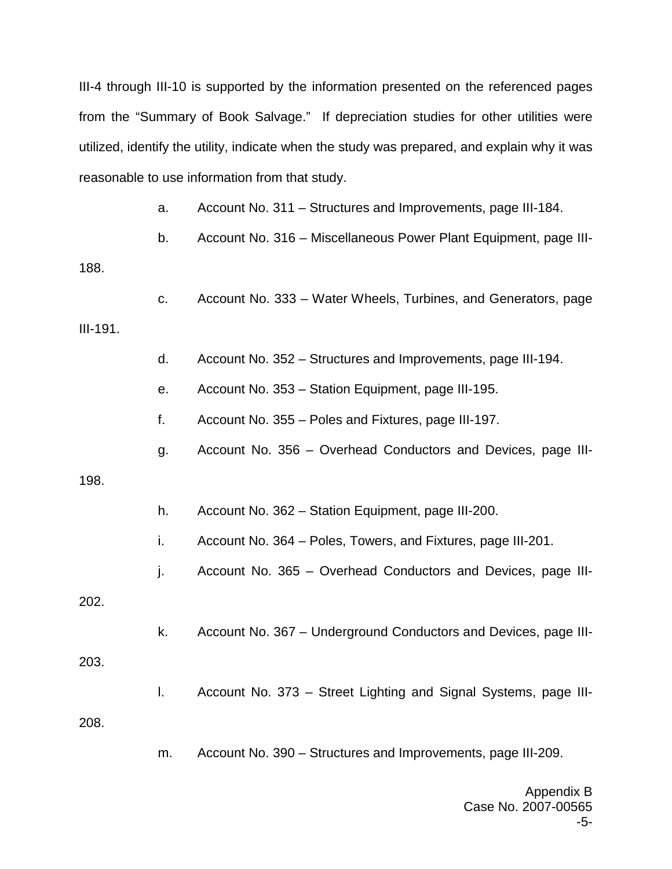III-4 through III-10 is supported by the information presented on the referenced pages from the "Summary of Book Salvage." If depreciation studies for other utilities were utilized, identify the utility, indicate when the study was prepared, and explain why it was reasonable to use information from that study.

a. Account No. 311 – Structures and Improvements, page III-184.

b. Account No. 316 – Miscellaneous Power Plant Equipment, page III-

188.

c. Account No. 333 – Water Wheels, Turbines, and Generators, page

## III-191.

d. Account No. 352 – Structures and Improvements, page III-194.

e. Account No. 353 – Station Equipment, page III-195.

f. Account No. 355 – Poles and Fixtures, page III-197.

g. Account No. 356 – Overhead Conductors and Devices, page III-

### 198.

- h. Account No. 362 Station Equipment, page III-200.
- i. Account No. 364 Poles, Towers, and Fixtures, page III-201.
- j. Account No. 365 Overhead Conductors and Devices, page III-

202.

k. Account No. 367 – Underground Conductors and Devices, page III-

### 203.

l. Account No. 373 – Street Lighting and Signal Systems, page III-

208.

m. Account No. 390 – Structures and Improvements, page III-209.

Appendix B Case No. 2007-00565 -5-